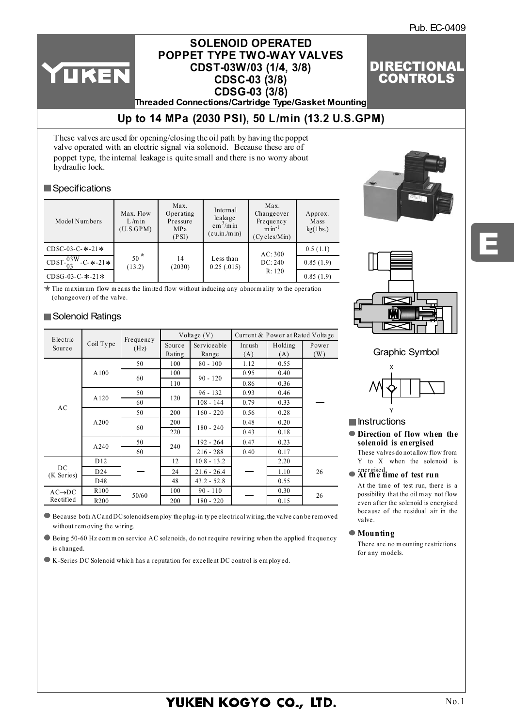Pub. EC-0409

DIRECTIONAL **CONTROLS** 

## **SOLENOID OPERATED CDSC-03 (3/8) POPPET TYPE TWO-WAY VALVES CDST-03W/03 (1/4, 3/8) CDSG-03 (3/8)**

**Threaded Connections/Cartridge Type/Gasket Mounting**

# **[Up to 14 MPa \(2030 PSI\), 50 L/min \(13.2 U.S.GPM\)](http://www.rmc.rukmit.com)**

These valves are used for opening/closing the oil path by having the poppet valve operated with an electric signal via solenoid. Because these are of poppet type, the internal leakage is quite small and there is no worry about hydraulic lock.

### **Specifications**

YUKEN

| Model Numbers                             | Max. Flow<br>$L/m$ in<br>(U.S.GPM) | Max.<br>Operating<br>Pressure<br>MPa<br>(PSI) | Internal<br>leakage<br>$\text{cm}^3/\text{m}$ in<br>(cu.in./m in) | Max.<br>Changeover<br>Frequency<br>$min^{-1}$<br>$(Cy$ cles/Min $)$ | Approx.<br>Mass<br>kg(1bs.) |
|-------------------------------------------|------------------------------------|-----------------------------------------------|-------------------------------------------------------------------|---------------------------------------------------------------------|-----------------------------|
| $CDSC-03-C-$ *-21*                        |                                    |                                               |                                                                   | AC:300                                                              | 0.5(1.1)                    |
| $\frac{703 \text{W}}{03}$ -C- $*$ -21 $*$ | $50^{\frac{\pi}{2}}$<br>(13.2)     | 14<br>(2030)                                  | Less than<br>0.25(.015)                                           | DC: 240                                                             | 0.85(1.9)                   |
| $CDSG-03-C-$ *-21*                        |                                    |                                               |                                                                   | R: 120                                                              | 0.85(1.9)                   |

 $\star$  The maximum flow means the limited flow without inducing any abnormality to the operation (changeover) of the valve.

## Solenoid Ratings

| Electric           |                  | Frequency | Voltage $(V)$ |               | Current & Power at Rated Voltage |         |       |  |
|--------------------|------------------|-----------|---------------|---------------|----------------------------------|---------|-------|--|
| Source             | Coil Type        | (Hz)      | Source        | Serviceable   | Inrush                           | Holding | Power |  |
|                    |                  |           | Rating        | Range         | (A)                              | (A)     | (W)   |  |
|                    |                  | 50        | 100           | $80 - 100$    | 1.12                             | 0.55    |       |  |
|                    | A100             | 60        | 100           | $90 - 120$    | 0.95                             | 0.40    |       |  |
|                    |                  |           | 110           |               | 0.86                             | 0.36    |       |  |
|                    |                  | 50        |               | $96 - 132$    | 0.93                             | 0.46    |       |  |
| AC                 | A120             | 60        | 120           | $108 - 144$   | 0.79                             | 0.33    |       |  |
|                    | A200             | 50        | 200           | $160 - 220$   | 0.56                             | 0.28    |       |  |
|                    |                  |           | 200           |               | 0.48                             | 0.20    |       |  |
|                    |                  | 60        | 220           | $180 - 240$   | 0.43                             | 0.18    |       |  |
|                    | A240             | 50        | 240           | $192 - 264$   | 0.47                             | 0.23    |       |  |
|                    |                  | 60        |               | $216 - 288$   | 0.40                             | 0.17    |       |  |
|                    | D <sub>12</sub>  |           | 12            | $10.8 - 13.2$ |                                  | 2.20    |       |  |
| DC<br>(K Series)   | D24              |           | 24            | $21.6 - 26.4$ |                                  | 1.10    | 26    |  |
|                    | D48              |           | 48            | $43.2 - 52.8$ |                                  | 0.55    |       |  |
| $AC\rightarrow DC$ | R <sub>100</sub> |           | 100           | $90 - 110$    |                                  | 0.30    |       |  |
| Rectified          | R <sub>200</sub> | 50/60     | 200           | $180 - 220$   |                                  | 0.15    | 26    |  |





E

Graphic Symbol



- $\blacksquare$  Instructions
- **Direction of flow when the solenoid is energised** These valves do not allow flow from

Y to X when the solenoid is

# energised. **At the time of test run**

At the time of test run, there is a possibility that the oil m ay not flow even after the solenoid is energised because of the residual air in the valve.

**Mounting**

There are no m ounting restrictions for any m odels.

Because both AC and DC solenoids em ploy the plug-in ty pe electrical wiring, the valve can be rem oved without rem oving the wiring.

 $\bullet$  Being 50-60 Hz common service AC solenoids, do not require rewiring when the applied frequency is changed.

K-Series DC Solenoid which has a reputation for excellent DC control is em ploy ed.

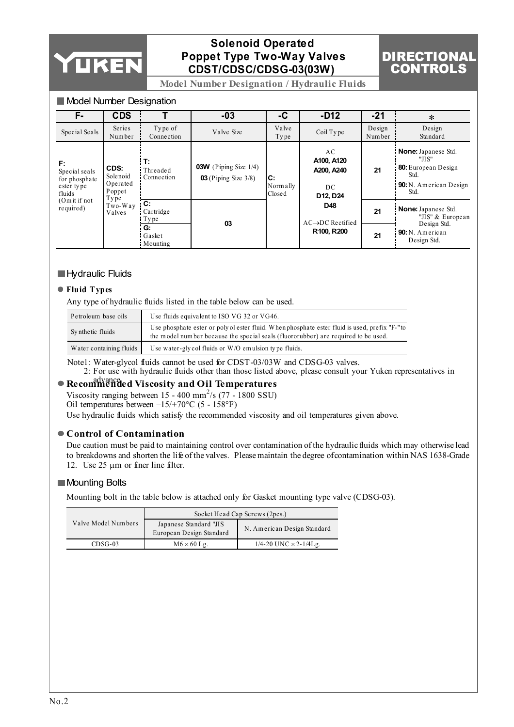

## **Solenoid Operated Poppet Type Two-Way Valves CDST/CDSC/CDSG-03(03W)**



**Model Number Designation / Hydraulic Fluids**

### **Model Number Designation**

| F-                                                           | <b>CDS</b>                                     |                                          | $-03$                                                        | -C                        | $-D12$                                           | $-21$            | $\ast$                                                                                                             |
|--------------------------------------------------------------|------------------------------------------------|------------------------------------------|--------------------------------------------------------------|---------------------------|--------------------------------------------------|------------------|--------------------------------------------------------------------------------------------------------------------|
| Special Seals                                                | Series<br>Number                               | Type of<br>Connection                    | Valve Size                                                   | Valve<br>Type             | Coil Type                                        | Design<br>Number | Design<br>Standard                                                                                                 |
| F.<br>Special seals<br>for phosphate<br>ester type<br>fluids | CDS:<br>Solenoid<br>Operated<br>Poppet<br>Type | $\mathbf{T}$ :<br>Threaded<br>Connection | <b>03W</b> (Piping Size $1/4$ )<br>$03$ (Piping Size $3/8$ ) | IC:<br>Normally<br>Closed | AC<br>A100, A120<br>A200, A240<br>DC<br>D12, D24 | 21               | <b>None:</b> Japanese Std.<br>"JIS"<br><b>80:</b> European Design<br>Std.<br><b>90:</b> N. American Design<br>Std. |
| $(0m$ it if not<br>required)                                 | Two-Way<br>Valves                              | C:<br>Cartridge<br>$\Gamma$ Type         | 03                                                           |                           | D48<br>$AC \rightarrow DC$ Rectified             | 21               | None: Japanese Std.<br>"JIS" & European<br>Design Std.                                                             |
|                                                              |                                                | 'G:<br>Gasket<br>: Mounting              |                                                              |                           | R <sub>100</sub> , R <sub>200</sub>              | 21               | <b>90:</b> N. American<br>Design Std.                                                                              |

### **Hydraulic Fluids**

### **Fluid Types**

Any type of hydraulic fluids listed in the table below can be used.

| Petroleum base oils     | Use fluids equivalent to ISO VG 32 or VG46.                                                                                                                                          |
|-------------------------|--------------------------------------------------------------------------------------------------------------------------------------------------------------------------------------|
| Synthetic fluids        | Use phosphate ester or poly of ester fluid. When phosphate ester fluid is used, prefix "F-" to<br>the model number because the special seals (fluororubber) are required to be used. |
| Water containing fluids | Use water-gly col fluids or $W/O$ emulsion type fluids.                                                                                                                              |

Note1: Water-glycol fluids cannot be used for CDST-03/03W and CDSG-03 valves. 2: For use with hydraulic fluids other than those listed above, please consult your Yuken representatives in

# advance. **Recommended Viscosity and Oil Temperatures**

Viscosity ranging between  $15 - 400$  mm<sup>2</sup>/s (77 - 1800 SSU) Oil temperatures between −15/+70°C (5 - 158°F)

Use hydraulic fluids which satisfy the recommended viscosity and oil temperatures given above.

### **Control of Contamination**

Due caution must be paid to maintaining control over contamination of the hydraulic fluids which may otherwise lead to breakdowns and shorten the life of the valves. Please maintain the degree of contamination within NAS 1638-Grade 12. Use 25  $\mu$ m or finer line filter.

### **Mounting Bolts**

Mounting bolt in the table below is attached only for Gasket mounting type valve (CDSG-03).

|                     | Socket Head Cap Screws (2pcs.)                     |                                  |  |  |  |
|---------------------|----------------------------------------------------|----------------------------------|--|--|--|
| Valve Model Numbers | Japanese Standard "JIS<br>European Design Standard | N. American Design Standard      |  |  |  |
| $CDSG-03$           | $M6 \times 60$ Lg.                                 | $1/4 - 20$ UNC $\times$ 2-1/4Lg. |  |  |  |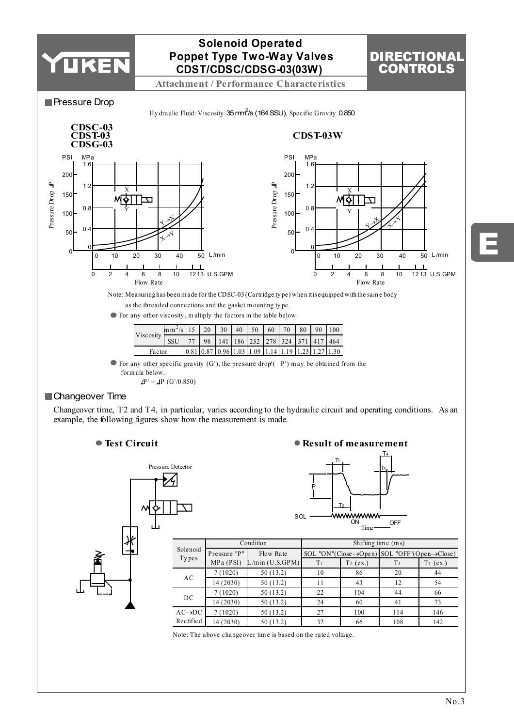



**Result of measurement**



| Solenoid           |              | Condition            | Shifting time $(m s)$                                                  |             |                |             |  |  |
|--------------------|--------------|----------------------|------------------------------------------------------------------------|-------------|----------------|-------------|--|--|
|                    | Pressure "P" | Flow Rate            | SOL "ON"(Close $\rightarrow$ Open) SOL "OFF"(Open $\rightarrow$ Close) |             |                |             |  |  |
| Types              | MPa (PSI)    | $L/m$ in $(U.S.GPM)$ | T <sub>1</sub>                                                         | $T_2$ (ex.) | T <sub>3</sub> | T4<br>(ex.) |  |  |
| AC                 | 7(1020)      | 50(13.2)             | 10                                                                     | 86          | 20             | 44          |  |  |
|                    | 14 (2030)    | 50 (13.2)            | 11                                                                     | 43          | 12             | 54          |  |  |
| DC                 | 7(1020)      | 50 (13.2)            | 22                                                                     | 104         | 44             | 66          |  |  |
|                    | 14 (2030)    | 50 (13.2)            | 24                                                                     | 60          | 41             | 73          |  |  |
| $AC\rightarrow DC$ | 7(1020)      | 50 (13.2)            | 27                                                                     | 100         | 114            | 146         |  |  |
| Rectified          | 14 (2030)    | 50(13.2)             | 32                                                                     | 66          | 108            | 142         |  |  |

Note: The above changeover tim e is based on the rated voltage.

E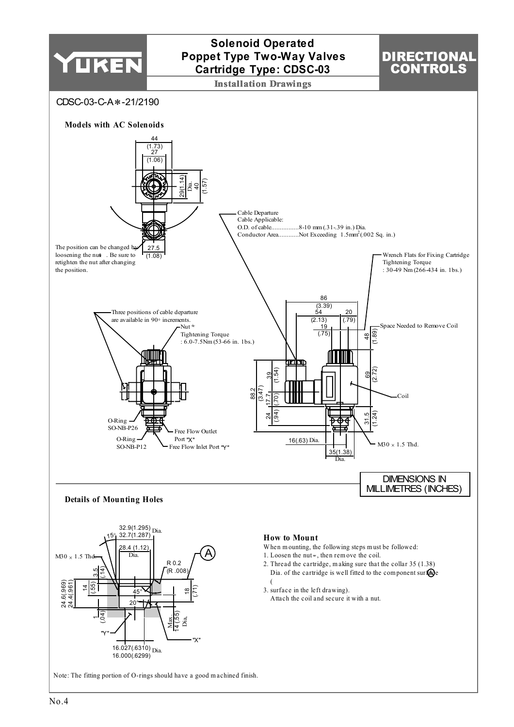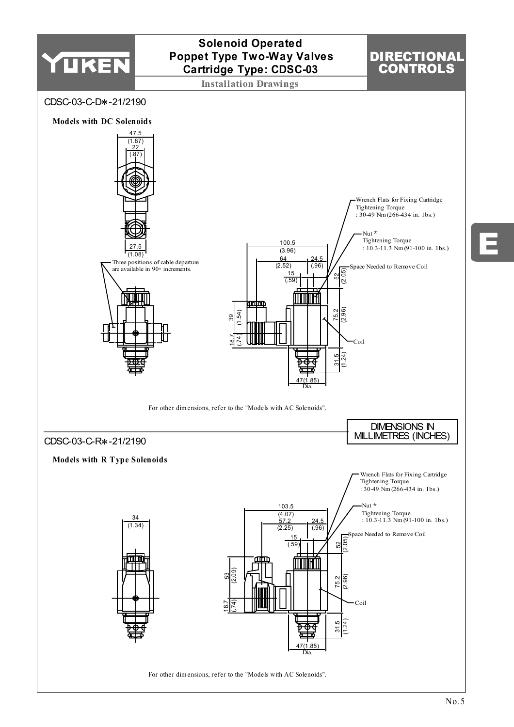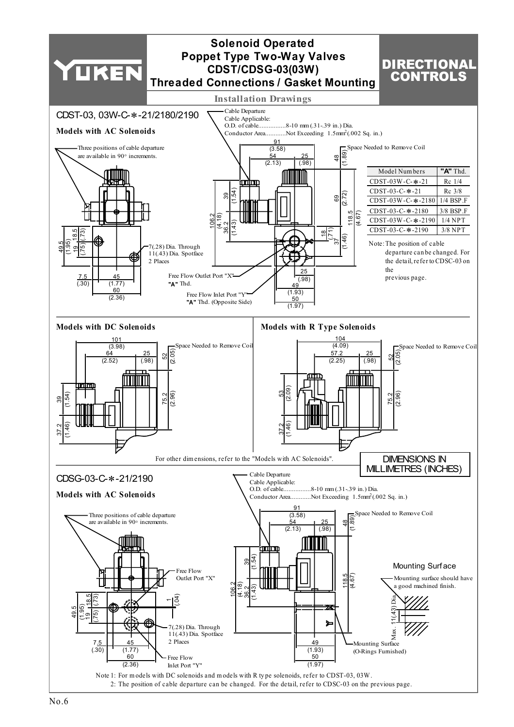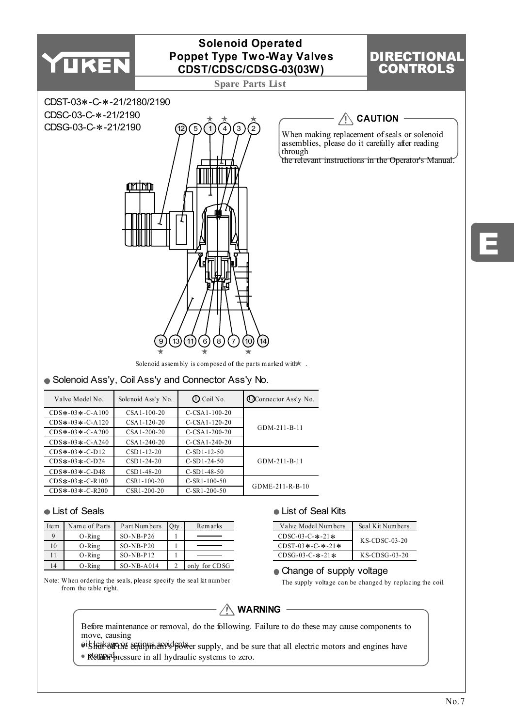

| Item | Name of Parts | Part Numbers | Qty. | Remarks       |
|------|---------------|--------------|------|---------------|
|      | $O-Ring$      | $SO-NB-P26$  |      |               |
| 10   | $O-Ring$      | $SO-NB-P20$  |      |               |
|      | $O-Ring$      | $SO-NB-P12$  |      |               |
| 14   | $O-Ring$      | $SO-NB-A014$ |      | only for CDSG |

Note: W hen ordering the seals, please specify the seal kit num ber from the table right.

| Valve Model Numbers | Seal Kit Numbers |
|---------------------|------------------|
| $CDSC-03-C-$ *-21*  | $K$ S-CDSC-03-20 |
| $CDST-03* -C-*-21*$ |                  |
| $CDSG-03-C-$ *-21*  | $K$ S-CDSG-03-20 |

#### • Change of supply voltage

The supply voltage can be changed by replacing the coil.



Before maintenance or removal, do the following. Failure to do these may cause components to move, causing

ois leakage ne serious accidents er supply, and be sure that all electric motors and engines have

• Reppedentle Return pressure in all hydraulic systems to zero.